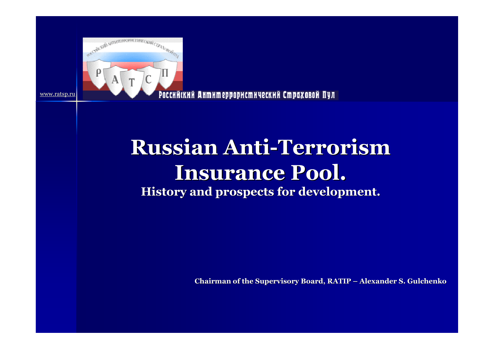

Российский Антитеррористический Страховой Пул

# **Russian Anti-Terrorism Insurance Pool. History and prospects for development.**

**Chairman of the Supervisory Board, RATIP – Alexander S. Gulchenko**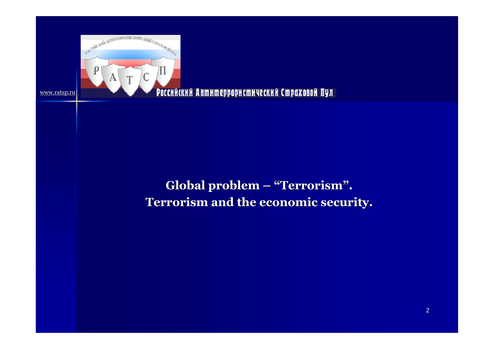

### Российский Антитеррористический Страховой Пул

## **Global problem – "Terrorism". Terrorism and the economic security.**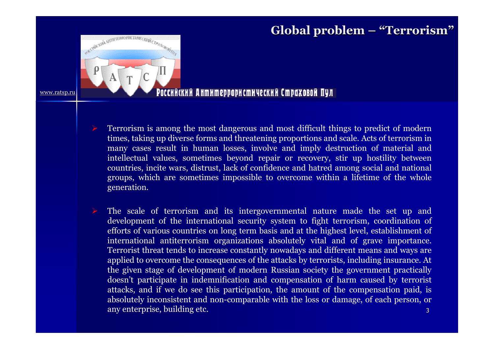# **Global problem – "Terrorism"**



#### Российский Антитеррористический Страховой Пул

- $\blacktriangleright$  Terrorism is among the most dangerous and most difficult things to predict of modern times, taking up diverse forms and threatening proportions and scale. Acts of terrorism in many cases result in human losses, involve and imply destruction of material and intellectual values, sometimes beyond repair or recovery, stir up hostility between countries, incite wars, distrust, lack of confidence and hatred among social and national<br>groups, which are sometimes impossible to overcome within a lifetime of the whole groups, which are sometimes impossible to overcome within a lifetime of the whole generation.
- 3 $\blacktriangleright$  The scale of terrorism and its intergovernmental nature made the set up and development of the international security system to fight terrorism, coordination of efforts of various countries on long term basis and at the highest level, establishment of international antiterrorism organizations absolutely vital and of grave importance. Terrorist threat tends to increase constantly nowadays and different means and ways are applied to overcome the consequences of the attacks by terrorists, including insurance. At the given stage of development of modern Russian society the government practically doesn't participate in indemnification and compensation of harm caused by terrorist<br>attacks, and if we do see this participation, the amount of the compensation paid, is attacks, and if we do see this participation, the amount of the compensation paid, is absolutely inconsistent and non-comparable with the loss or damage, of each person, or any enterprise, building etc.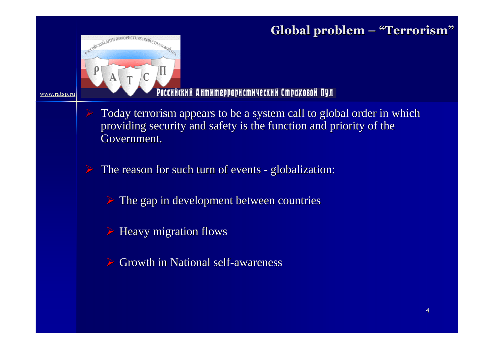# **Global problem – "Terrorism"**

#### Российский Антитеррористический Страховой Пул

- Today terrorism appears to be a system call to global order in which providing security and safety is the function and priority of the Government.
- The reason for such turn of events <sup>g</sup>lobalization:
	- The gap in development between countries
	- Heavy migration flows

www.ratsp.ru

FARCHORCHION ANTITTEPPOP

**CTHRECKHIL CTPAND** 

Growth in National self-awareness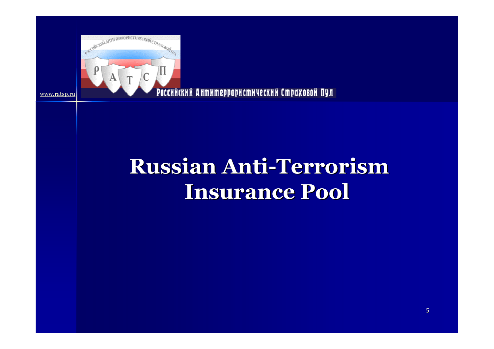

Российский Антитеррористический Страховой Пул

# **Russian Anti-Terrorism Insurance Pool**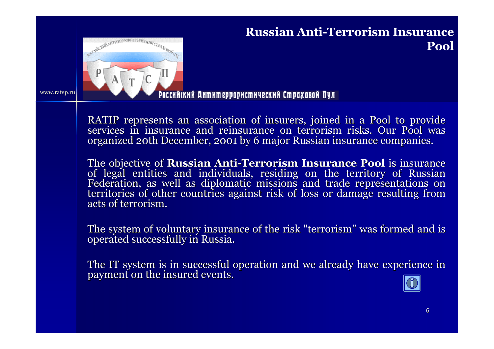

## **Russian Anti-Terrorism Insurance Pool**

#### Российский Антитеррористический Страховой Пул

RATIP represents an association of insurers, joined in a Pool to provide services in insurance and reinsurance on terrorism risks. Our Pool was organized 20th December, 2001 by 6 major Russian insurance companies.

The objective of **Russian Anti-Terrorism Insurance Pool** is insurance<br>of legal entities and individuals, residing on the territory of Russian<br>Federation, as well as diplomatic missions and trade representations on<br>territor

The system of voluntary insurance of the risk "terrorism" was formed and is operated successfully in Russia.

The IT system is in successful operation and we already have experience in payment on the insured events.

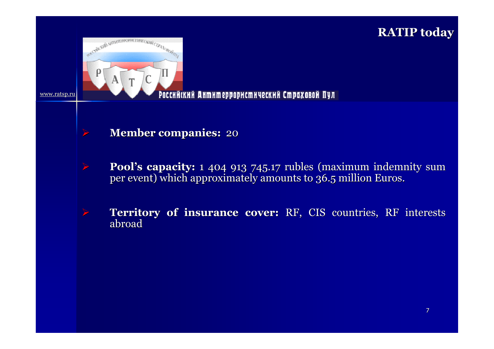## **RATIP today**



 $\blacktriangleright$ 

www.ratsp.ru

 $\blacktriangleright$ 

 $\blacktriangleright$ 

#### Российский Антитеррористический Страховой Пул

- **Member companies:** <sup>20</sup>
- **Pool's capacity:** 1 404 913 745.17 rubles (maximum indemnity sum per event) which approximately amounts to 36.5 million Euros.
- **Territory of insurance cover:** RF, CIS countries, RF interests abroad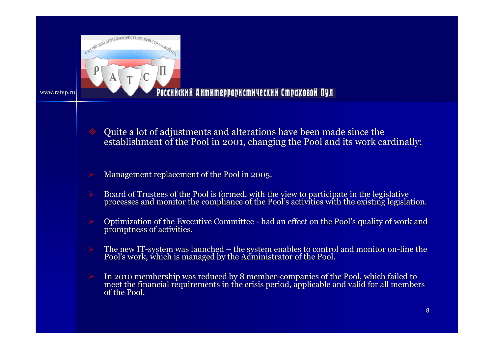

#### Российский Антитеррористический Страховой Пул

- Quite a lot of adjustments and alterations have been made since the establishment of the Pool in 2001, changing the Pool and its work cardinally:
- Management replacement of the Pool in 2005.
- Board of Trustees of the Pool is formed, with the view to participate in the legislative processes and monitor the compliance of the Pool's activities with the existing legislation.
- Optimization of the Executive Committee had an effect on the Pool's quality of work and promptness of activities.
- The new IT-system was launched the system enables to control and monitor on-line the Pool's work, which is managed by the Administrator of the Pool.
- In 2010 membership was reduced by 8 member-companies of the Pool, which failed to meet the financial requirements in the crisis period, applicable and valid for all member meet the financial requirements in the crisis period, applicable and valid for all members<br>of the Pool.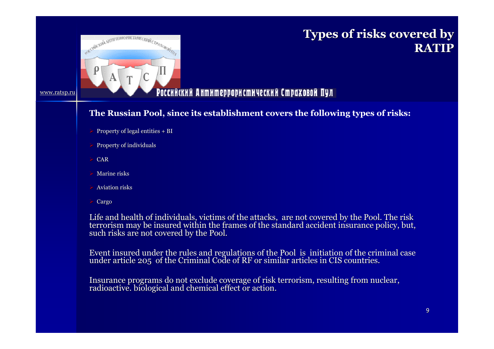

## **Types of risks covered by RATIP**

#### Российский Антитеррористический Страховой Пул

#### **The Russian Pool, since its establishment covers the following types of risks:**

- Property of legal entities  $+ B I$
- $\triangleright$  Property of individuals
- $\triangleright$  CAR

www.ratsp.ru

- $\triangleright$  Marine risks
- $\triangleright$  Aviation risks
- Cargo

Life and health of individuals, victims of the attacks, are not covered by the Pool. The risk<br>terrorism may be insured within the frames of the standard accident insurance policy, but,<br>such risks are not covered by the Po

Event insured under the rules and regulations of the Pool is initiation of the criminal case<br>under article 205 of the Criminal Code of RF or similar articles in CIS countries.<br>.

Insurance programs do not exclude coverage of risk terrorism, resulting from nuclear, radioactive. biological and chemical effect or action.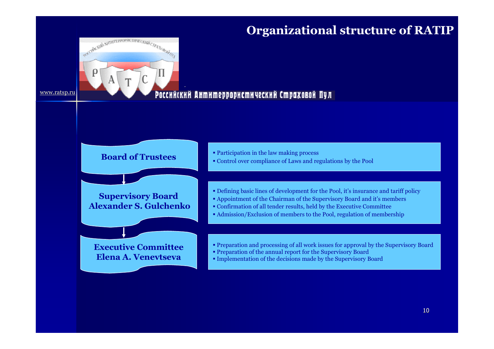## **Organizational structure of RATIP**



#### Российский Антитеррористический Страховой Пул



#### **Supervisory Board Alexander S. Gulchenko**

**Executive CommitteeElena A. Venevtseva**

- Participation in the law making process
- Control over compliance of Laws and regulations by the Pool
- Defining basic lines of development for the Pool, it's insurance and tariff policy
- Appointment of the Chairman of the Supervisory Board and it's members<br>• Confirmation of all tonder results, hold by the Executive Committee
- Confirmation of all tender results, held by the Executive Committee
- Admission/Exclusion of members to the Pool, regulation of membership
- Preparation and processing of all work issues for approval by the Supervisory Board
- Preparation of the annual report for the Supervisory Board
- Implementation of the decisions made by the Supervisory Board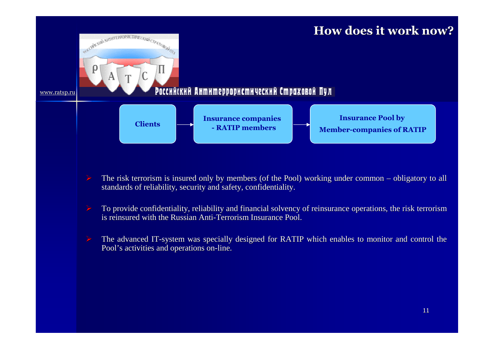## **How does it work now?**

#### Российский Антитеррористический Страховой Пул

www.ratsp.ru

SKECHNELWEI SHTHTEPPOPHCTHEIECKHOFCTP-EXOBORATION

Π

 $\mathsf{p}$ 



- The risk terrorism is insured only by members (of the Pool) working under common obligatory to all standards of reliability, security and safety, confidentiality.
- To provide confidentiality, reliability and financial solvency of reinsurance operations, the risk terrorism is reinsured with the Russian Anti-Terrorism Insurance Pool.
- The advanced IT-system was specially designed for RATIP which enables to monitor and control the Pool's activities and operations on-line.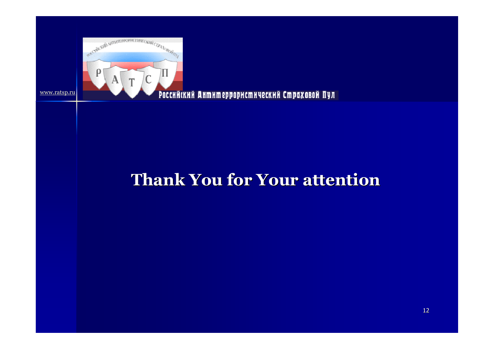

#### Российский Антитеррористический Страховой Пул

# **Thank You for Your attention**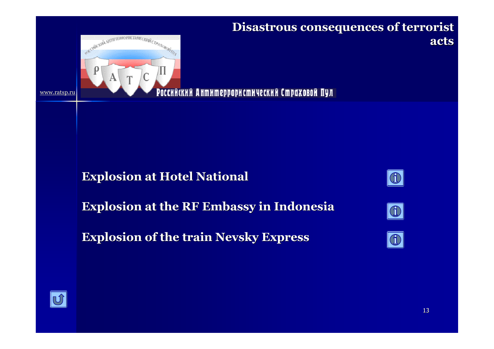

## **Disastrous consequences of terrorist acts**

Российский Антитеррористический Страховой Пул

## **Explosion at Hotel National**

**Explosion at the RF Embassy in Indonesia**

**Explosion of the train Nevsky Express**







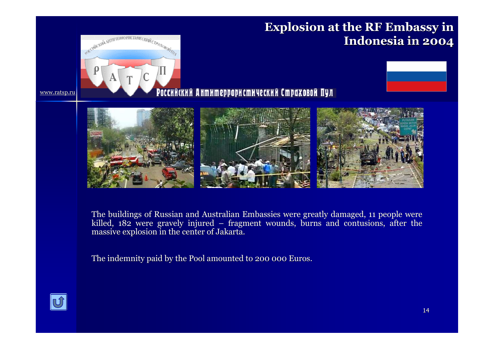

The buildings of Russian and Australian Embassies were greatly damaged, 11 people were killed, 182 were gravely injured – fragment wounds, burns and contusions, after the massive explosion in the center of Jakarta.

The indemnity paid by the Pool amounted to 200 000 Euros.

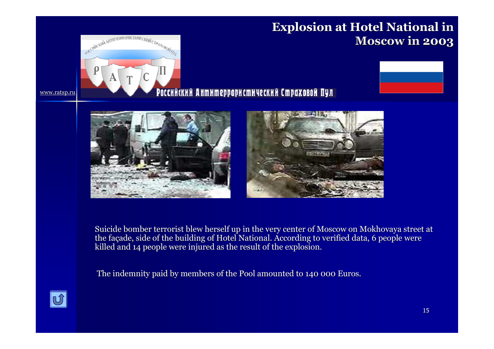## **Explosion at Hotel National in Moscow in 2003**





#### Российский Антитеррористический Страховой Пул





Suicide bomber terrorist blew herself up in the very center of Moscow on Mokhovaya street at the fa çade, side of the building of Hotel National. According to verified data, 6 people were killed and 14 people were injured as the result of the explosion.

The indemnity paid by members of the Pool amounted to 140 000 Euros.



www.ratsp.ru